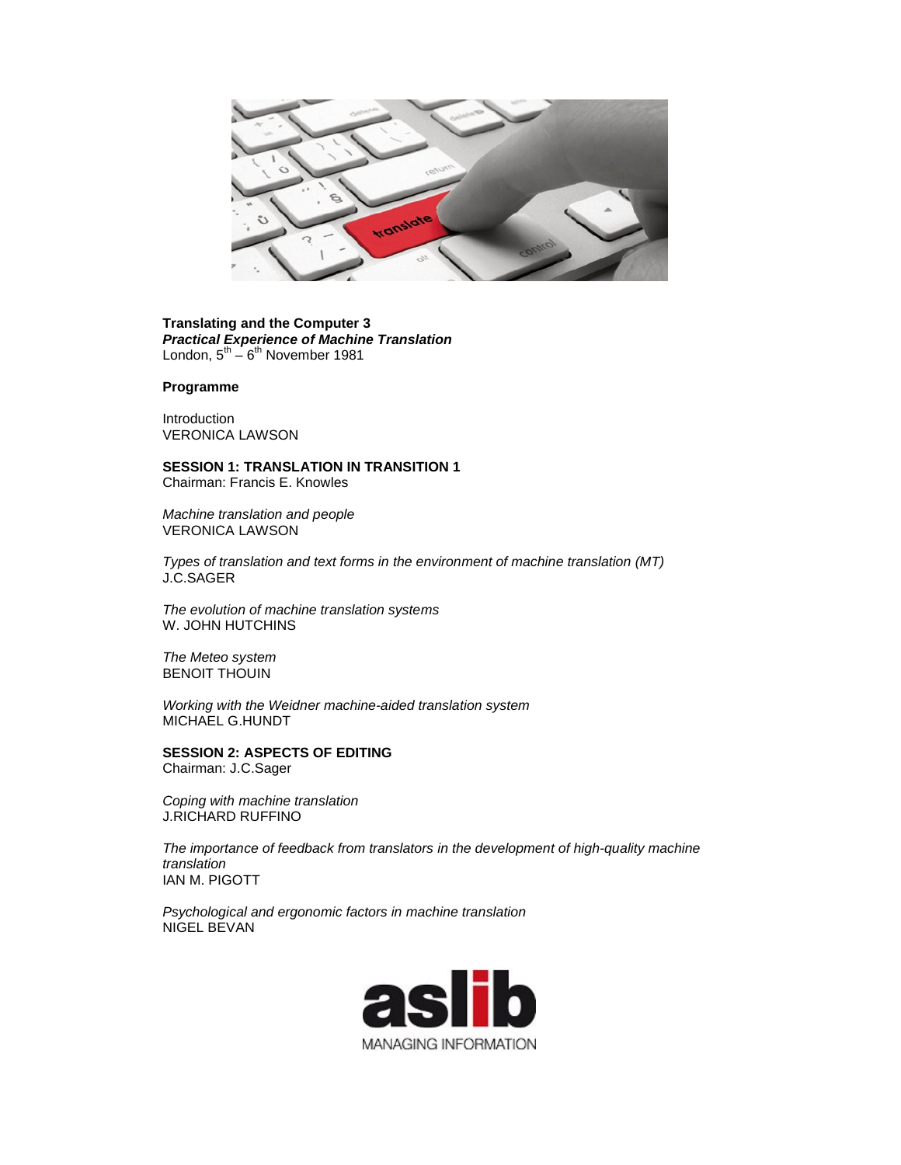

## **Translating and the Computer 3** *Practical Experience of Machine Translation* London,  $5^{th} - 6^{th}$  November 1981

## **Programme**

Introduction VERONICA LAWSON

## **SESSION 1: TRANSLATION IN TRANSITION 1**

Chairman: Francis E. Knowles

*Machine translation and people* VERONICA LAWSON

*Types of translation and text forms in the environment of machine translation (MT)* J.C.SAGER

*The evolution of machine translation systems* W. JOHN HUTCHINS

*The Meteo system* BENOIT THOUIN

*Working with the Weidner machine-aided translation system* MICHAEL G.HUNDT

**SESSION 2: ASPECTS OF EDITING**  Chairman: J.C.Sager

*Coping with machine translation* J.RICHARD RUFFINO

*The importance of feedback from translators in the development of high-quality machine translation* IAN M. PIGOTT

*Psychological and ergonomic factors in machine translation* NIGEL BEVAN